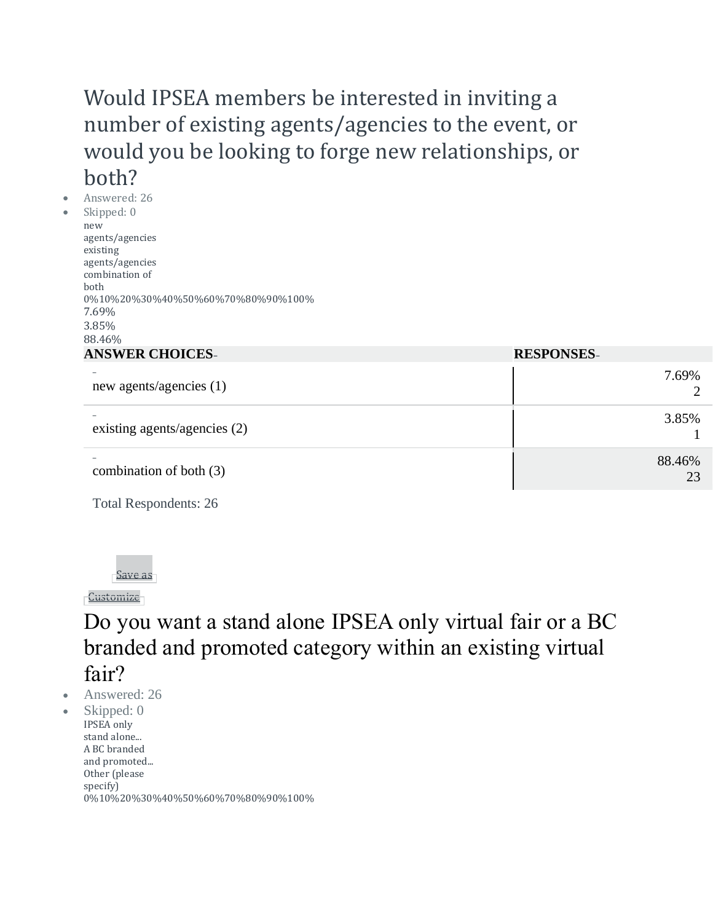# Would IPSEA members be interested in inviting a number of existing agents/agencies to the event, or would you be looking to forge new relationships, or both?

• Answered: 26 Skipped: 0 new agents/agencies existing agents/agencies combination of both 0%10%20%30%40%50%60%70%80%90%100% 7.69% 3.85% 88.46% **ANSWER CHOICES– RESPONSES–**

| ANSWER CHUICES-              | RESPUNSES-   |
|------------------------------|--------------|
| new agents/agencies (1)      | 7.69%        |
| existing agents/agencies (2) | 3.85%        |
| combination of both (3)      | 88.46%<br>23 |

Total Respondents: 26



**[Customize](https://www.surveymonkey.com/analyze/aboXNAjEhsK2eQ79UX7zYEZGmvaoJZRSNxZrETqTyRI_3D?tab_clicked=1)** 

Do you want a stand alone IPSEA only virtual fair or a BC branded and promoted category within an existing virtual fair?

• Answered: 26

• Skipped: 0 IPSEA only stand alone... A BC branded and promoted... Other (please specify) 0%10%20%30%40%50%60%70%80%90%100%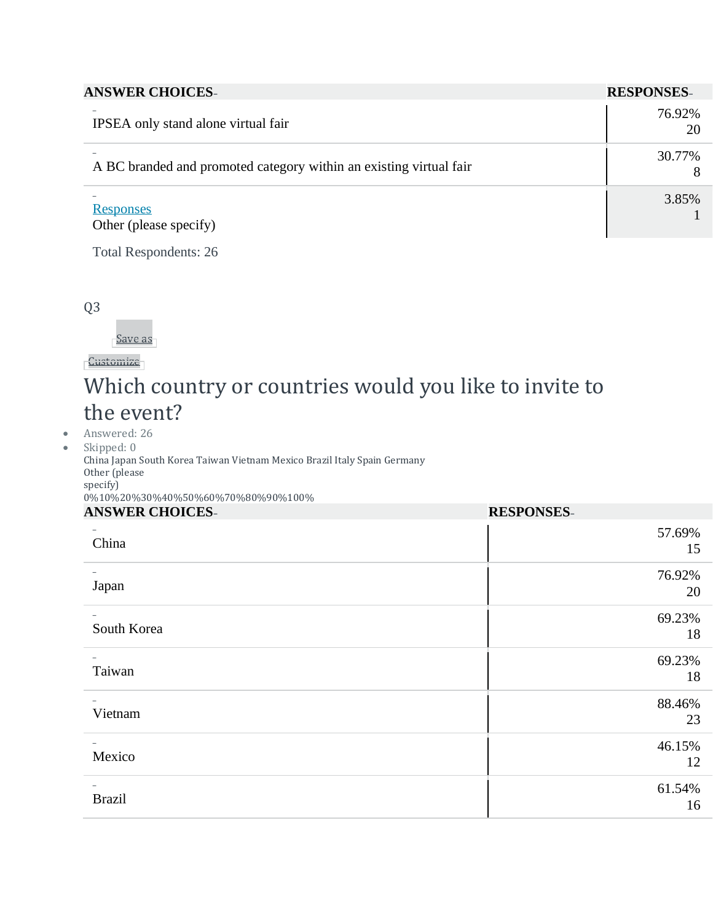|  | <b>ANSWER CHOICES-</b> |
|--|------------------------|
|--|------------------------|

| <b>ANSWER CHOICES-</b>                                             | <b>RESPONSES-</b> |
|--------------------------------------------------------------------|-------------------|
| IPSEA only stand alone virtual fair                                | 76.92%<br>20      |
| A BC branded and promoted category within an existing virtual fair | 30.77%            |
| <b>Responses</b><br>Other (please specify)                         | 3.85%             |

Total Respondents: 26

Q3

[Save](https://www.surveymonkey.com/analyze/aboXNAjEhsK2eQ79UX7zYEZGmvaoJZRSNxZrETqTyRI_3D?tab_clicked=1) as

[Customize](https://www.surveymonkey.com/analyze/aboXNAjEhsK2eQ79UX7zYEZGmvaoJZRSNxZrETqTyRI_3D?tab_clicked=1)

### Which country or countries would you like to invite to the event?

• Answered: 26

• Skipped: 0 China Japan South Korea Taiwan Vietnam Mexico Brazil Italy Spain Germany Other (please specify) 0%10%20%30%40%50%60%70%80%90%100% **ANSWER CHOICES– RESPONSES–**

| ARD WEIN CHUICED- | LLDI ORDED-  |
|-------------------|--------------|
| China             | 57.69%<br>15 |
| Japan             | 76.92%<br>20 |
| South Korea       | 69.23%<br>18 |
| Taiwan            | 69.23%<br>18 |
| Vietnam           | 88.46%<br>23 |
| Mexico            | 46.15%<br>12 |
| <b>Brazil</b>     | 61.54%<br>16 |
|                   |              |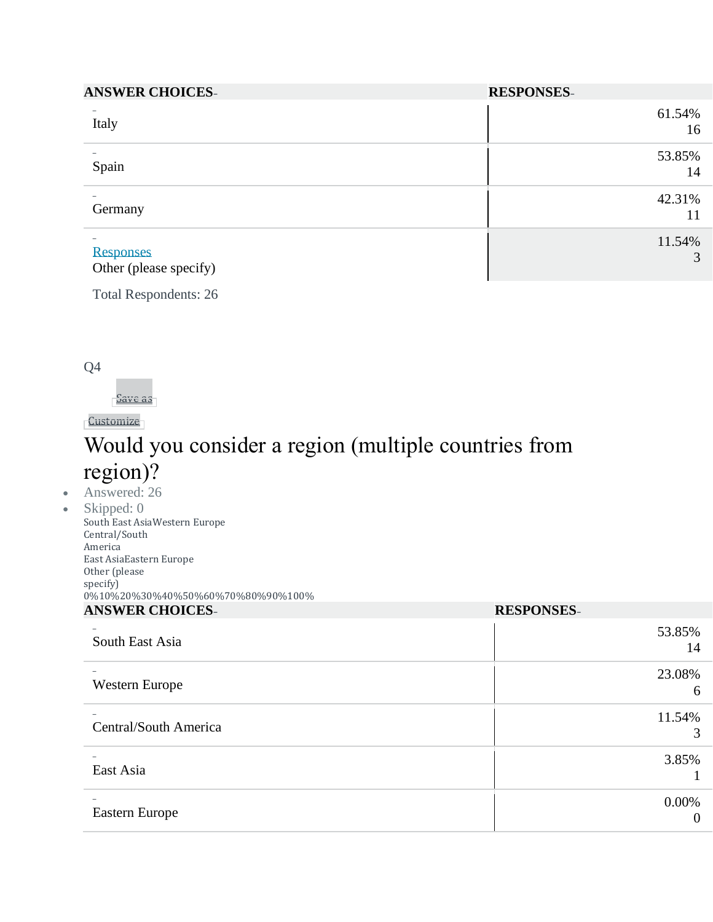| <b>ANSWER CHOICES-</b>                                                 | <b>RESPONSES-</b> |
|------------------------------------------------------------------------|-------------------|
| Italy                                                                  | 61.54%<br>16      |
| Spain                                                                  | 53.85%<br>14      |
| -<br>Germany                                                           | 42.31%<br>11      |
| $\overline{\phantom{0}}$<br><b>Responses</b><br>Other (please specify) | 11.54%<br>3       |

Total Respondents: 26

Q4

[Save](https://www.surveymonkey.com/analyze/aboXNAjEhsK2eQ79UX7zYEZGmvaoJZRSNxZrETqTyRI_3D?tab_clicked=1) as

[Customize](https://www.surveymonkey.com/analyze/aboXNAjEhsK2eQ79UX7zYEZGmvaoJZRSNxZrETqTyRI_3D?tab_clicked=1)

# Would you consider a region (multiple countries from region)?

#### • Answered: 26

• Skipped: 0 South East AsiaWestern Europe Central/South America East AsiaEastern Europe Other (please specify) 0%10%20%30%40%50%60%70%80%90%100% **ANSWER CHOICES– RESPONSES–**

| <i>ILITO WERE</i>     | <b>AUDIT OF REPAIR</b> |
|-----------------------|------------------------|
| South East Asia       | 53.85%<br>14           |
| Western Europe        | 23.08%<br>6            |
| Central/South America | 11.54%<br>3            |
| East Asia             | 3.85%                  |
| Eastern Europe        | $0.00\%$<br>$\theta$   |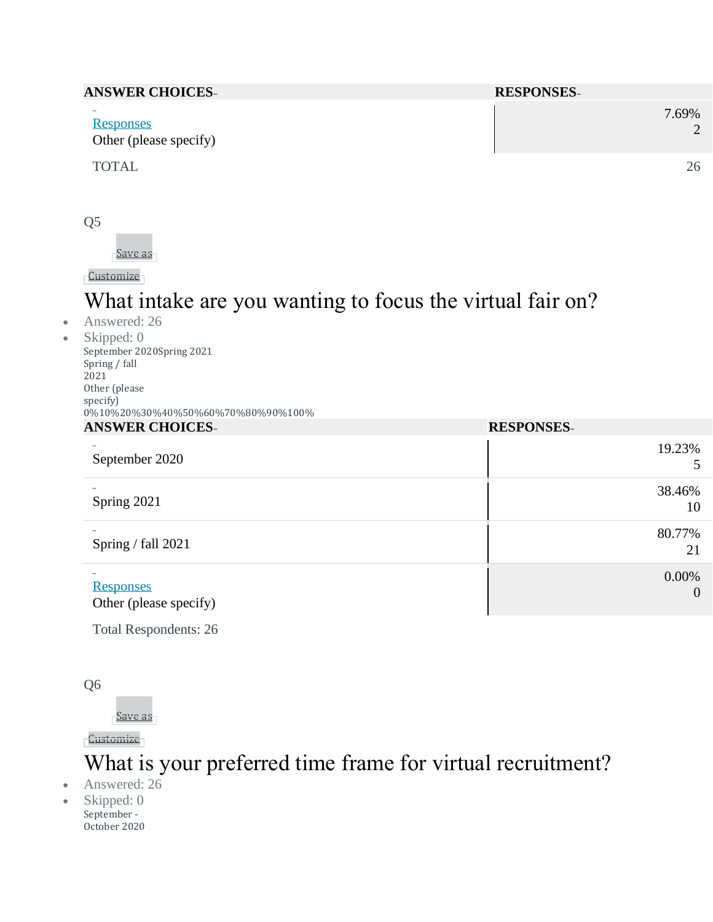| <b>ANSWER CHOICES-</b>                                                 | <b>RESPONSES-</b> |
|------------------------------------------------------------------------|-------------------|
| $\overline{\phantom{a}}$<br><b>Responses</b><br>Other (please specify) | 7.69%             |
| <b>TOTAL</b>                                                           | 26                |

Q5

[Save](https://www.surveymonkey.com/analyze/aboXNAjEhsK2eQ79UX7zYEZGmvaoJZRSNxZrETqTyRI_3D?tab_clicked=1) as

**[Customize](https://www.surveymonkey.com/analyze/aboXNAjEhsK2eQ79UX7zYEZGmvaoJZRSNxZrETqTyRI_3D?tab_clicked=1)** 

# What intake are you wanting to focus the virtual fair on?

• Answered: 26

• Skipped: 0 September 2020Spring 2021 Spring / fall 2021 Other (please specify) 0%10%20%30%40%50%60%70%80%90%100% **ANSWER CHOICES– RESPONSES–**

| ARD WER CHOICES-                           | <b>INDU OTIDED-</b>     |
|--------------------------------------------|-------------------------|
| September 2020                             | 19.23%<br>5             |
| Spring 2021                                | 38.46%<br>10            |
| Spring / fall 2021                         | 80.77%<br>21            |
| <b>Responses</b><br>Other (please specify) | 0.00%<br>$\overline{0}$ |

Total Respondents: 26

Q6

[Save](https://www.surveymonkey.com/analyze/aboXNAjEhsK2eQ79UX7zYEZGmvaoJZRSNxZrETqTyRI_3D?tab_clicked=1) as

[Customize](https://www.surveymonkey.com/analyze/aboXNAjEhsK2eQ79UX7zYEZGmvaoJZRSNxZrETqTyRI_3D?tab_clicked=1)

### What is your preferred time frame for virtual recruitment?

- Answered: 26
- Skipped: 0 September - October 2020